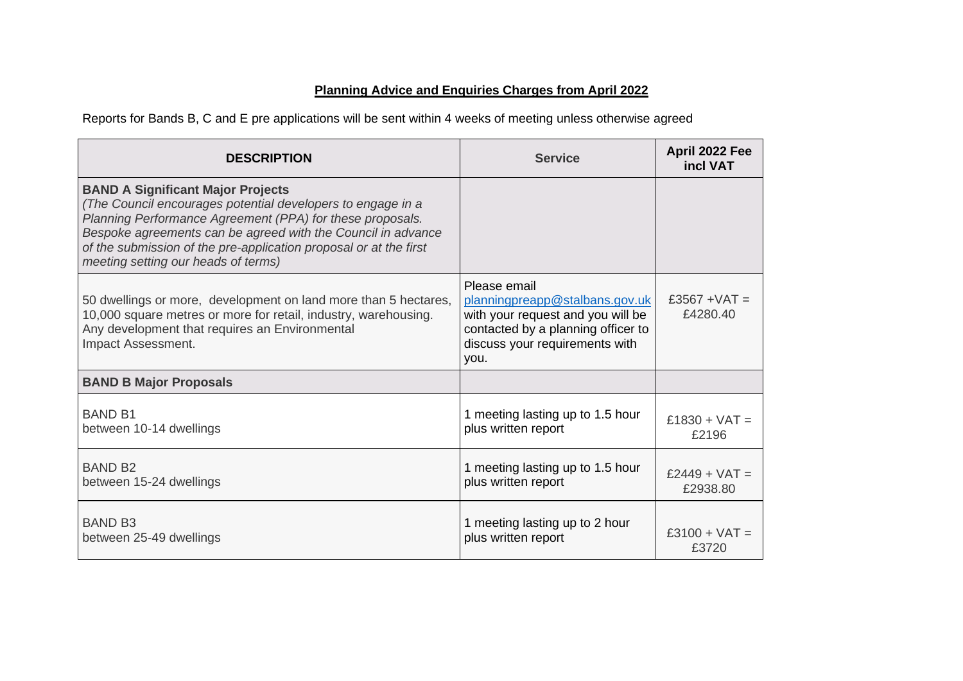## **Planning Advice and Enquiries Charges from April 2022**

Reports for Bands B, C and E pre applications will be sent within 4 weeks of meeting unless otherwise agreed

| <b>DESCRIPTION</b>                                                                                                                                                                                                                                                                                                                               | <b>Service</b>                                                                                                                                                      | April 2022 Fee<br>incl VAT  |
|--------------------------------------------------------------------------------------------------------------------------------------------------------------------------------------------------------------------------------------------------------------------------------------------------------------------------------------------------|---------------------------------------------------------------------------------------------------------------------------------------------------------------------|-----------------------------|
| <b>BAND A Significant Major Projects</b><br>(The Council encourages potential developers to engage in a<br>Planning Performance Agreement (PPA) for these proposals.<br>Bespoke agreements can be agreed with the Council in advance<br>of the submission of the pre-application proposal or at the first<br>meeting setting our heads of terms) |                                                                                                                                                                     |                             |
| 50 dwellings or more, development on land more than 5 hectares,<br>10,000 square metres or more for retail, industry, warehousing.<br>Any development that requires an Environmental<br>Impact Assessment.                                                                                                                                       | Please email<br>planningpreapp@stalbans.gov.uk<br>with your request and you will be<br>contacted by a planning officer to<br>discuss your requirements with<br>you. | £3567 + $VAT =$<br>£4280.40 |
| <b>BAND B Major Proposals</b>                                                                                                                                                                                                                                                                                                                    |                                                                                                                                                                     |                             |
| <b>BAND B1</b><br>between 10-14 dwellings                                                                                                                                                                                                                                                                                                        | 1 meeting lasting up to 1.5 hour<br>plus written report                                                                                                             | £1830 + $VAT =$<br>£2196    |
| <b>BAND B2</b><br>between 15-24 dwellings                                                                                                                                                                                                                                                                                                        | 1 meeting lasting up to 1.5 hour<br>plus written report                                                                                                             | £2449 + $VAT =$<br>£2938.80 |
| <b>BAND B3</b><br>between 25-49 dwellings                                                                                                                                                                                                                                                                                                        | 1 meeting lasting up to 2 hour<br>plus written report                                                                                                               | $£3100 + VAT =$<br>£3720    |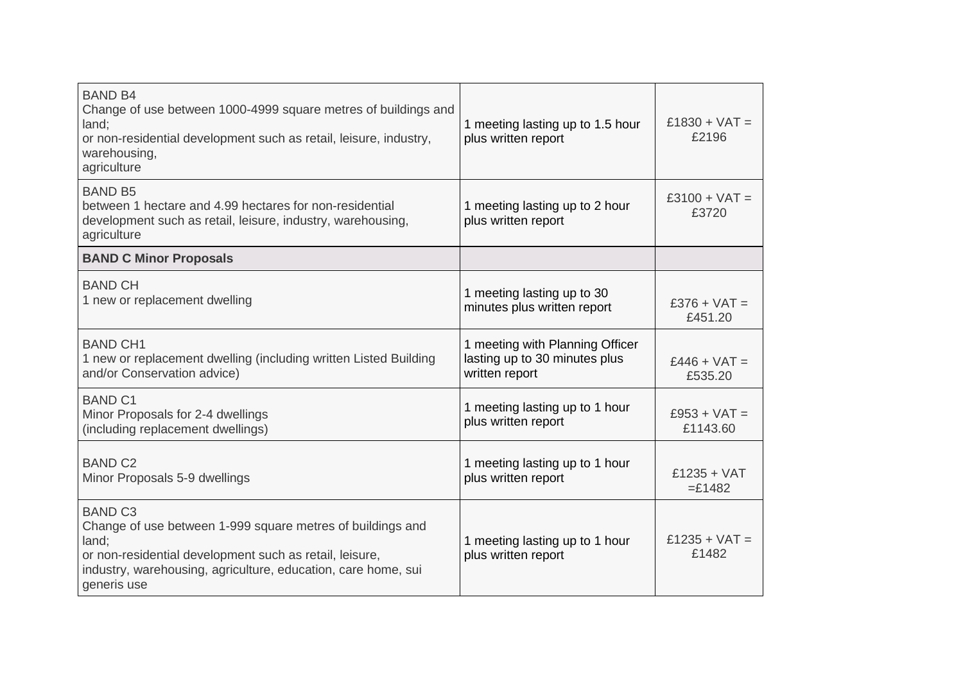| <b>BAND B4</b><br>Change of use between 1000-4999 square metres of buildings and<br>land;<br>or non-residential development such as retail, leisure, industry,<br>warehousing,<br>agriculture                                    | 1 meeting lasting up to 1.5 hour<br>plus written report                            | £1830 + $VAT =$<br>£2196   |
|----------------------------------------------------------------------------------------------------------------------------------------------------------------------------------------------------------------------------------|------------------------------------------------------------------------------------|----------------------------|
| <b>BAND B5</b><br>between 1 hectare and 4.99 hectares for non-residential<br>development such as retail, leisure, industry, warehousing,<br>agriculture                                                                          | 1 meeting lasting up to 2 hour<br>plus written report                              | $£3100 + VAT =$<br>£3720   |
| <b>BAND C Minor Proposals</b>                                                                                                                                                                                                    |                                                                                    |                            |
| <b>BAND CH</b><br>1 new or replacement dwelling                                                                                                                                                                                  | 1 meeting lasting up to 30<br>minutes plus written report                          | $£376 + VAT =$<br>£451.20  |
| <b>BAND CH1</b><br>1 new or replacement dwelling (including written Listed Building<br>and/or Conservation advice)                                                                                                               | 1 meeting with Planning Officer<br>lasting up to 30 minutes plus<br>written report | $£446 + VAT =$<br>£535.20  |
| <b>BAND C1</b><br>Minor Proposals for 2-4 dwellings<br>(including replacement dwellings)                                                                                                                                         | 1 meeting lasting up to 1 hour<br>plus written report                              | $£953 + VAT =$<br>£1143.60 |
| <b>BAND C2</b><br>Minor Proposals 5-9 dwellings                                                                                                                                                                                  | 1 meeting lasting up to 1 hour<br>plus written report                              | $£1235 + VAT$<br>$=$ £1482 |
| <b>BAND C3</b><br>Change of use between 1-999 square metres of buildings and<br>land;<br>or non-residential development such as retail, leisure,<br>industry, warehousing, agriculture, education, care home, sui<br>generis use | 1 meeting lasting up to 1 hour<br>plus written report                              | £1235 + $VAT =$<br>£1482   |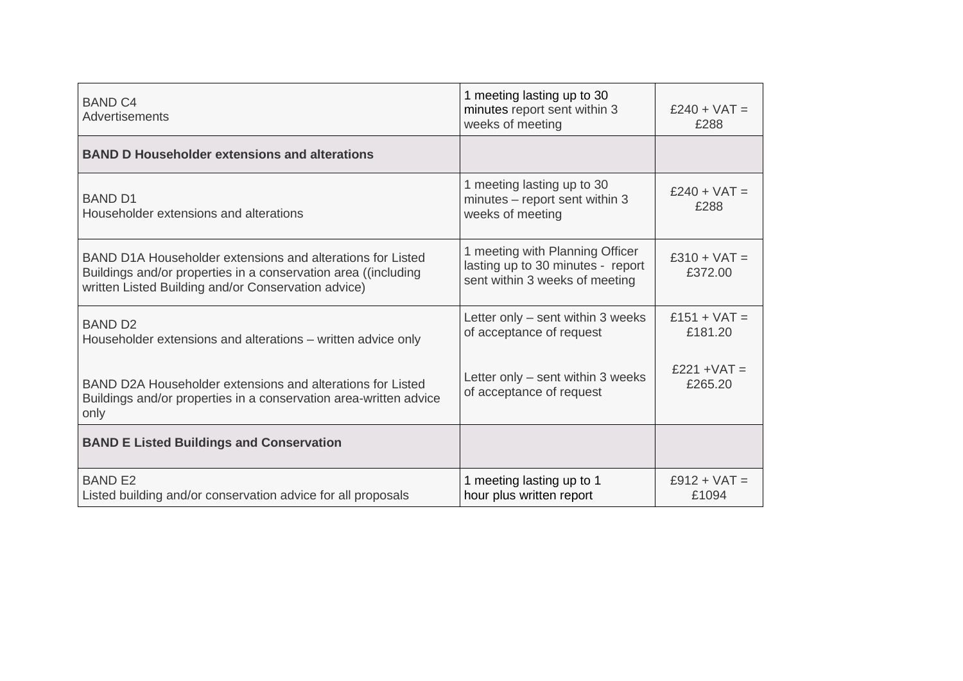| <b>BAND C4</b><br>Advertisements                                                                                                                                                    | 1 meeting lasting up to 30<br>minutes report sent within 3<br>weeks of meeting                         | $£240 + VAT =$<br>£288    |
|-------------------------------------------------------------------------------------------------------------------------------------------------------------------------------------|--------------------------------------------------------------------------------------------------------|---------------------------|
| <b>BAND D Householder extensions and alterations</b>                                                                                                                                |                                                                                                        |                           |
| <b>BAND D1</b><br>Householder extensions and alterations                                                                                                                            | 1 meeting lasting up to 30<br>minutes - report sent within 3<br>weeks of meeting                       | $£240 + VAT =$<br>£288    |
| BAND D1A Householder extensions and alterations for Listed<br>Buildings and/or properties in a conservation area ((including<br>written Listed Building and/or Conservation advice) | 1 meeting with Planning Officer<br>lasting up to 30 minutes - report<br>sent within 3 weeks of meeting | $£310 + VAT =$<br>£372.00 |
| <b>BAND D2</b><br>Householder extensions and alterations - written advice only                                                                                                      | Letter only - sent within 3 weeks<br>of acceptance of request                                          | £151 + $VAT =$<br>£181.20 |
| BAND D2A Householder extensions and alterations for Listed<br>Buildings and/or properties in a conservation area-written advice<br>only                                             | Letter only - sent within 3 weeks<br>of acceptance of request                                          | $£221 + VAT =$<br>£265.20 |
| <b>BAND E Listed Buildings and Conservation</b>                                                                                                                                     |                                                                                                        |                           |
| <b>BAND E2</b><br>Listed building and/or conservation advice for all proposals                                                                                                      | 1 meeting lasting up to 1<br>hour plus written report                                                  | $£912 + VAT =$<br>£1094   |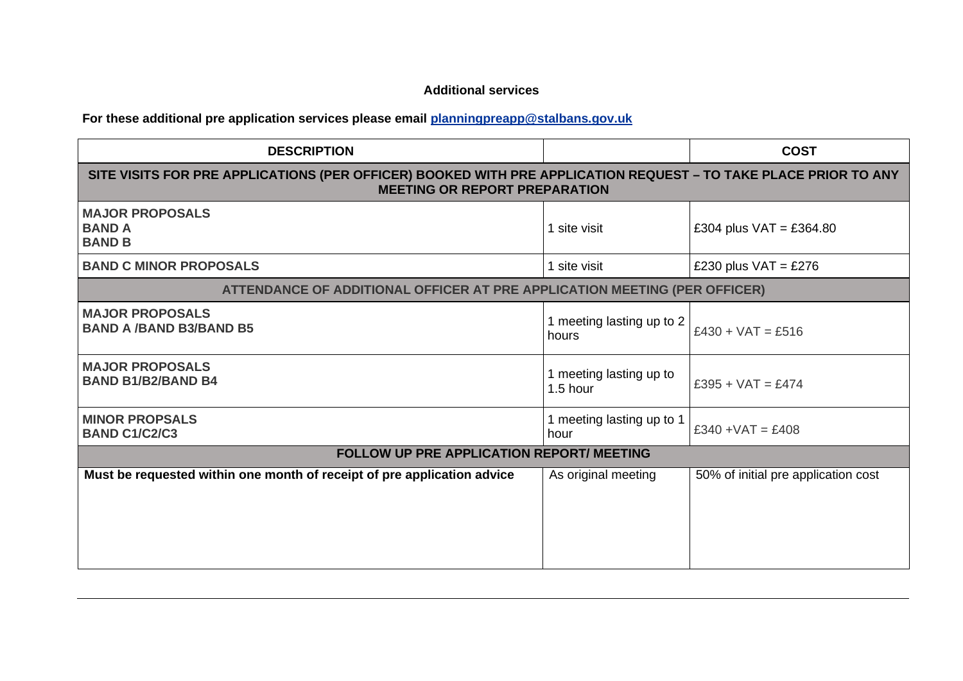## **Additional services**

**For these additional pre application services please email planningpreapp@stalbans.gov.uk**

| <b>DESCRIPTION</b>                                                                                                                                      |                                     | <b>COST</b>                         |  |
|---------------------------------------------------------------------------------------------------------------------------------------------------------|-------------------------------------|-------------------------------------|--|
| SITE VISITS FOR PRE APPLICATIONS (PER OFFICER) BOOKED WITH PRE APPLICATION REQUEST – TO TAKE PLACE PRIOR TO ANY<br><b>MEETING OR REPORT PREPARATION</b> |                                     |                                     |  |
| <b>MAJOR PROPOSALS</b><br><b>BAND A</b><br><b>BAND B</b>                                                                                                | 1 site visit                        | £304 plus $VAT = £364.80$           |  |
| <b>BAND C MINOR PROPOSALS</b>                                                                                                                           | 1 site visit                        | £230 plus $VAT = £276$              |  |
| ATTENDANCE OF ADDITIONAL OFFICER AT PRE APPLICATION MEETING (PER OFFICER)                                                                               |                                     |                                     |  |
| <b>MAJOR PROPOSALS</b><br><b>BAND A /BAND B3/BAND B5</b>                                                                                                | 1 meeting lasting up to 2<br>hours  | £430 + $VAT = £516$                 |  |
| <b>MAJOR PROPOSALS</b><br><b>BAND B1/B2/BAND B4</b>                                                                                                     | 1 meeting lasting up to<br>1.5 hour | £395 + $VAT = £474$                 |  |
| <b>MINOR PROPSALS</b><br><b>BAND C1/C2/C3</b>                                                                                                           | 1 meeting lasting up to 1<br>hour   | £340 + VAT = £408                   |  |
| <b>FOLLOW UP PRE APPLICATION REPORT/ MEETING</b>                                                                                                        |                                     |                                     |  |
| Must be requested within one month of receipt of pre application advice                                                                                 | As original meeting                 | 50% of initial pre application cost |  |
|                                                                                                                                                         |                                     |                                     |  |
|                                                                                                                                                         |                                     |                                     |  |
|                                                                                                                                                         |                                     |                                     |  |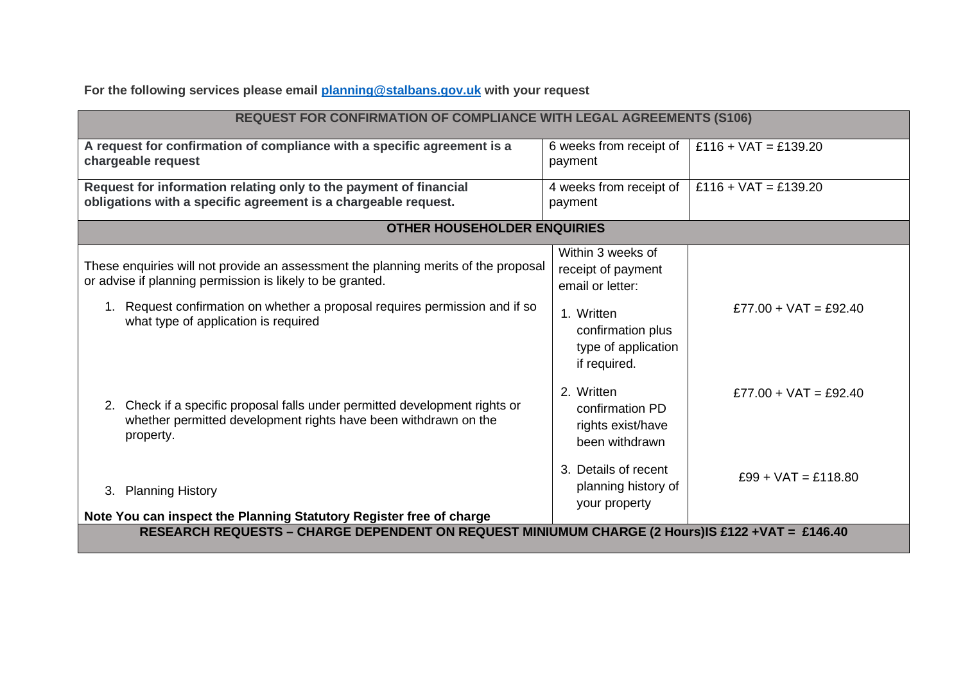**For the following services please email planning@stalbans.gov.uk with your request** 

| <b>REQUEST FOR CONFIRMATION OF COMPLIANCE WITH LEGAL AGREEMENTS (S106)</b>                                                                                  |                                                                        |                         |
|-------------------------------------------------------------------------------------------------------------------------------------------------------------|------------------------------------------------------------------------|-------------------------|
| A request for confirmation of compliance with a specific agreement is a<br>chargeable request                                                               | 6 weeks from receipt of<br>payment                                     | $£116 + VAT = £139.20$  |
| Request for information relating only to the payment of financial<br>obligations with a specific agreement is a chargeable request.                         | 4 weeks from receipt of<br>payment                                     | $£116 + VAT = £139.20$  |
| <b>OTHER HOUSEHOLDER ENQUIRIES</b>                                                                                                                          |                                                                        |                         |
| These enquiries will not provide an assessment the planning merits of the proposal<br>or advise if planning permission is likely to be granted.             | Within 3 weeks of<br>receipt of payment<br>email or letter:            |                         |
| 1. Request confirmation on whether a proposal requires permission and if so<br>what type of application is required                                         | 1. Written<br>confirmation plus<br>type of application<br>if required. | $£77.00 + VAT = £92.40$ |
| 2. Check if a specific proposal falls under permitted development rights or<br>whether permitted development rights have been withdrawn on the<br>property. | 2. Written<br>confirmation PD<br>rights exist/have<br>been withdrawn   | $£77.00 + VAT = £92.40$ |
| 3. Planning History<br>Note You can inspect the Planning Statutory Register free of charge                                                                  | 3. Details of recent<br>planning history of<br>your property           | $£99 + VAT = £118.80$   |
| RESEARCH REQUESTS - CHARGE DEPENDENT ON REQUEST MINIUMUM CHARGE (2 Hours)IS £122 + VAT = £146.40                                                            |                                                                        |                         |